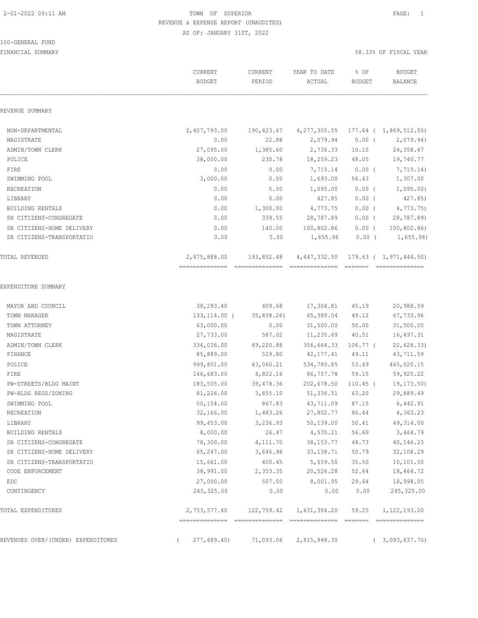#### 100-GENERAL FUND

|                                    | CURRENT<br><b>BUDGET</b>       | CURRENT<br>PERIOD            | YEAR TO DATE<br>ACTUAL         | % OF<br><b>BUDGET</b> | <b>BUDGET</b><br>BALANCE                   |
|------------------------------------|--------------------------------|------------------------------|--------------------------------|-----------------------|--------------------------------------------|
| REVENUE SUMMARY                    |                                |                              |                                |                       |                                            |
| NON-DEPARTMENTAL                   | 2,407,793.00                   | 190,423.67                   | 4, 277, 305.55                 |                       | $177.64$ ( 1,869,512.55)                   |
| MAGISTRATE                         | 0.00                           | 22.88                        | 2,079.94                       | $0.00$ (              | 2,079.94)                                  |
| ADMIN/TOWN CLERK                   | 27,095.00                      | 1,385.60                     | 2,736.33                       | 10.10                 | 24,358.67                                  |
| POLICE                             | 38,000.00                      | 230.78                       | 18,259.23                      | 48.05                 | 19,740.77                                  |
| FIRE                               | 0.00                           | 0.00                         | 7,715.14                       | $0.00$ (              | 7,715.14)                                  |
| SWIMMING POOL                      | 3,000.00                       | 0.00                         | 1,693.00                       | 56.43                 | 1,307.00                                   |
| RECREATION                         | 0.00                           | 5.00                         | 1,095.00                       | $0.00$ (              | 1,095.00                                   |
| LIBRARY                            | 0.00                           | 0.00                         | 427.85                         | $0.00$ (              | 427.85)                                    |
| <b>BUILDING RENTALS</b>            | 0.00                           | 1,300.00                     | 4,773.75                       | $0.00$ (              | 4,773.75                                   |
| SR CITIZENS-CONGREGATE             | 0.00                           | 339.55                       | 28,787.89                      | $0.00$ (              | 28,787.89)                                 |
| SR CITIZENS-HOME DELIVERY          | 0.00                           | 140.00                       | 100,802.86                     | $0.00$ (              | 100, 802.86                                |
| SR CITIZENS-TRANSPORTATIO          | 0.00                           | 5.00                         | 1,655.96                       | $0.00$ (              | 1,655.96                                   |
| TOTAL REVENUES                     | 2,475,888.00<br>============== | 193,852.48<br>-------------- | 4,447,332.50<br>============== | =======               | $179.63$ ( 1,971,444.50)<br>============== |
| EXPENDITURE SUMMARY                |                                |                              |                                |                       |                                            |
| MAYOR AND COUNCIL                  | 38,293.40                      | 409.68                       | 17,304.81                      | 45.19                 | 20,988.59                                  |
| TOWN MANAGER                       | $133, 114.00$ (                | 35,838.26)                   | 65,380.04                      | 49.12                 | 67,733.96                                  |
| TOWN ATTORNEY                      | 63,000.00                      | 0.00                         | 31,500.00                      | 50.00                 | 31,500.00                                  |
| MAGISTRATE                         | 27,733.00                      | 587.02                       | 11,235.69                      | 40.51                 | 16,497.31                                  |
| ADMIN/TOWN CLERK                   | 334,036.00                     | 49,220.88                    | 356,664.33                     | $106.77$ (            | 22,628.33)                                 |
| FINANCE                            | 85,889.00                      | 529.80                       | 42, 177.41                     | 49.11                 | 43,711.59                                  |
| POLICE                             | 999,801.00                     | 43,060.21                    | 534,780.85                     | 53.49                 | 465,020.15                                 |
| FIRE                               | 146,683.00                     | 4,822.16                     | 86,757.78                      | 59.15                 | 59,925.22                                  |
| PW-STREETS/BLDG MAINT              | 183,505.00                     | 39,478.36                    | 202,678.50                     | $110.45$ (            | 19,173.50)                                 |
| PW-BLDG REGS/ZONING                | 81,226.00                      | 3,855.10                     | 51,336.51                      | 63.20                 | 29,889.49                                  |
| SWIMMING POOL                      | 50,154.00                      | 867.83                       | 43,711.09                      | 87.15                 | 6,442.91                                   |
| RECREATION                         | 32,166.00                      | 1,483.26                     | 27,802.77                      | 86.44                 | 4,363.23                                   |
| LIBRARY                            | 99,453.00                      | 3,236.93                     | 50, 139.00                     | 50.41                 | 49, 314.00                                 |
| BUILDING RENTALS                   | 8,000.00                       | 26.47                        | 4,535.21                       | 56.69                 | 3,464.79                                   |
| SR CITIZENS-CONGREGATE             | 78,300.00                      | 4,111.70                     | 38, 153. 77                    | 48.73                 | 40,146.23                                  |
| SR CITIZENS-HOME DELIVERY          | 65,247.00                      | 3,646.98                     | 33, 138.71                     | 50.79                 | 32,108.29                                  |
| SR CITIZENS-TRANSPORTATIO          | 15,661.00                      | 400.45                       | 5,559.50                       | 35.50                 | 10,101.50                                  |
| CODE ENFORCEMENT                   | 38,991.00                      | 2,353.35                     | 20,526.28                      | 52.64                 | 18,464.72                                  |
| EDC                                | 27,000.00                      | 507.50                       | 8,001.95                       | 29.64                 | 18,998.05                                  |
| CONTINGENCY                        | 245, 325.00                    | 0.00                         | 0.00                           | 0.00                  | 245, 325.00                                |
| TOTAL EXPENDITURES                 | 2,753,577.40                   | 122,759.42                   | 1,631,384.20                   | 59.25                 | 1, 122, 193.20                             |
| REVENUES OVER/(UNDER) EXPENDITURES | 277,689.40                     | 71,093.06                    | 2,815,948.30                   |                       | (3,093,637.70)                             |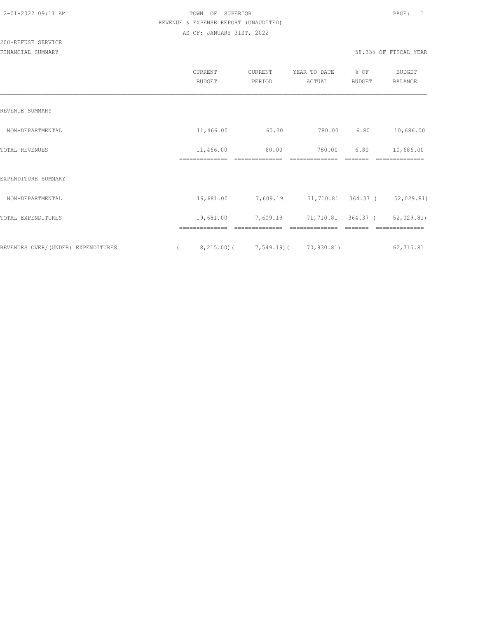|                                    | CURRENT<br><b>BUDGET</b> | CURRENT<br>PERIOD         | YEAR TO DATE<br>ACTUAL | % OF<br><b>BUDGET</b> | <b>BUDGET</b><br><b>BALANCE</b> |
|------------------------------------|--------------------------|---------------------------|------------------------|-----------------------|---------------------------------|
| REVENUE SUMMARY                    |                          |                           |                        |                       |                                 |
| NON-DEPARTMENTAL                   | 11,466.00                | 60.00                     | 780.00                 | 6.80                  | 10,686.00                       |
| TOTAL REVENUES                     | 11,466.00                | 60.00                     | 780.00                 | 6.80                  | 10,686.00                       |
| EXPENDITURE SUMMARY                |                          |                           |                        |                       |                                 |
| NON-DEPARTMENTAL                   | 19,681.00                | 7,609.19                  |                        | 71,710.81 364.37 (    | 52,029.81)                      |
| TOTAL EXPENDITURES                 | 19,681.00                | 7,609.19                  |                        | 71,710.81 364.37 (    | 52,029.81)                      |
|                                    |                          |                           |                        |                       |                                 |
| REVENUES OVER/(UNDER) EXPENDITURES |                          | $8,215.00$ ( $7,549.19$ ( | 70,930.81)             |                       | 62,715.81                       |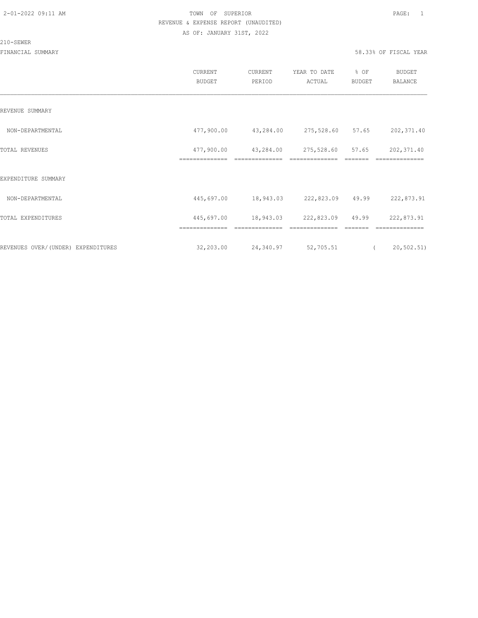#### 210-SEWER

|                                    | CURRENT<br><b>BUDGET</b>     | CURRENT<br>PERIOD                     | YEAR TO DATE<br>ACTUAL       | % OF<br>BUDGET | <b>BUDGET</b><br><b>BALANCE</b> |
|------------------------------------|------------------------------|---------------------------------------|------------------------------|----------------|---------------------------------|
| REVENUE SUMMARY                    |                              |                                       |                              |                |                                 |
| NON-DEPARTMENTAL                   | 477,900.00                   | 43,284.00                             | 275,528.60 57.65             |                | 202,371.40                      |
| TOTAL REVENUES                     | 477,900.00<br>============== | 43,284.00<br>==============           | 275,528.60<br>============== | 57.65          | 202, 371.40<br>==============   |
| EXPENDITURE SUMMARY                |                              |                                       |                              |                |                                 |
| NON-DEPARTMENTAL                   |                              | 445,697.00 18,943.03 222,823.09 49.99 |                              |                | 222,873.91                      |
| TOTAL EXPENDITURES                 | 445,697.00                   | 18,943.03                             | 222,823.09 49.99             |                | 222,873.91                      |
|                                    | ==============               | ==============                        | ==============               |                | ==============                  |
| REVENUES OVER/(UNDER) EXPENDITURES | 32,203.00                    | 24,340.97                             | 52,705.51                    |                | 20, 502.51)<br>$\left($         |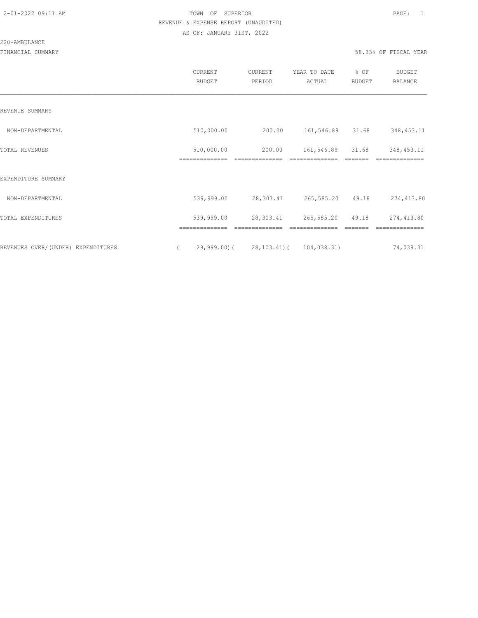#### 220-AMBULANCE

|                                     | CURRENT<br><b>BUDGET</b>     | CURRENT<br>PERIOD                   | YEAR TO DATE<br>ACTUAL | % OF<br>BUDGET | <b>BUDGET</b><br>BALANCE |
|-------------------------------------|------------------------------|-------------------------------------|------------------------|----------------|--------------------------|
| REVENUE SUMMARY                     |                              |                                     |                        |                |                          |
| NON-DEPARTMENTAL                    | 510,000.00                   | 200.00                              | 161,546.89             | 31.68          | 348, 453. 11             |
| TOTAL REVENUES                      | 510,000.00<br>============== | 200.00                              | 161,546.89             | 31.68          | 348, 453.11              |
| EXPENDITURE SUMMARY                 |                              |                                     |                        |                |                          |
| NON-DEPARTMENTAL                    | 539,999.00                   | 28,303.41                           | 265,585.20 49.18       |                | 274,413.80               |
| TOTAL EXPENDITURES                  | 539,999.00                   | 28,303.41                           | 265,585.20 49.18       |                | 274,413.80               |
|                                     | ==============               | ==============                      | ==============         | =======        | ==============           |
| REVENUES OVER/ (UNDER) EXPENDITURES |                              | 29,999.00) (28,103.41) (104,038.31) |                        |                | 74,039.31                |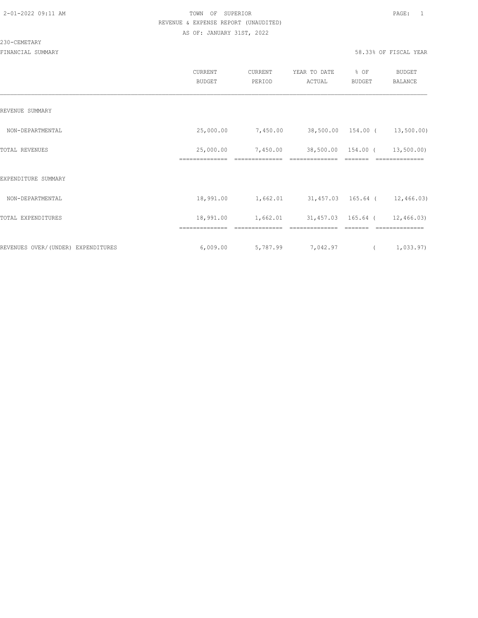#### 230-CEMETARY

|                                    | CURRENT<br><b>BUDGET</b>    | <b>CURRENT</b><br>PERIOD | YEAR TO DATE<br>ACTUAL        | % OF<br><b>BUDGET</b> | <b>BUDGET</b><br>BALANCE     |
|------------------------------------|-----------------------------|--------------------------|-------------------------------|-----------------------|------------------------------|
| REVENUE SUMMARY                    |                             |                          |                               |                       |                              |
| NON-DEPARTMENTAL                   | 25,000.00                   | 7,450.00                 | 38,500.00 154.00 (            |                       | 13,500.00)                   |
| TOTAL REVENUES                     | 25,000.00<br>============== | 7,450.00                 | 38,500.00                     | 154.00 (              | 13,500.00)<br>============== |
| EXPENDITURE SUMMARY                |                             |                          |                               |                       |                              |
| NON-DEPARTMENTAL                   | 18,991.00                   | 1,662.01                 | 31,457.03 165.64 ( 12,466.03) |                       |                              |
| TOTAL EXPENDITURES                 | 18,991.00                   | 1,662.01                 |                               | 31,457.03 165.64 (    | 12,466.03)                   |
| REVENUES OVER/(UNDER) EXPENDITURES | 6,009.00                    | 5,787.99                 | 7,042.97                      | $\sqrt{2}$            | 1,033.97)                    |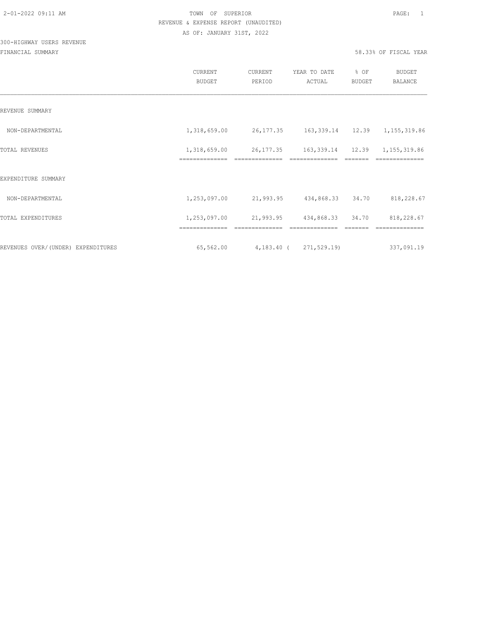# 300-HIGHWAY USERS REVENUE

|                                    | <b>CURRENT</b><br><b>BUDGET</b> | CURRENT<br>PERIOD      | YEAR TO DATE<br>ACTUAL                      | % OF<br><b>BUDGET</b> | <b>BUDGET</b><br><b>BALANCE</b> |
|------------------------------------|---------------------------------|------------------------|---------------------------------------------|-----------------------|---------------------------------|
| REVENUE SUMMARY                    |                                 |                        |                                             |                       |                                 |
| NON-DEPARTMENTAL                   | 1,318,659.00                    |                        | 26, 177.35 163, 339.14 12.39 1, 155, 319.86 |                       |                                 |
| TOTAL REVENUES                     | 1,318,659.00<br>==============  | 26, 177.35             | 163, 339.14 12.39                           |                       | 1, 155, 319.86                  |
| EXPENDITURE SUMMARY                |                                 |                        |                                             |                       |                                 |
| NON-DEPARTMENTAL                   | 1,253,097.00                    |                        | 21,993.95 434,868.33                        | 34.70                 | 818,228.67                      |
| TOTAL EXPENDITURES                 | 1,253,097.00                    | 21,993.95              | 434,868.33                                  | 34.70                 | 818,228.67                      |
|                                    | --------------                  |                        |                                             |                       |                                 |
| REVENUES OVER/(UNDER) EXPENDITURES | 65,562.00                       | 4,183.40 ( 271,529.19) |                                             |                       | 337,091.19                      |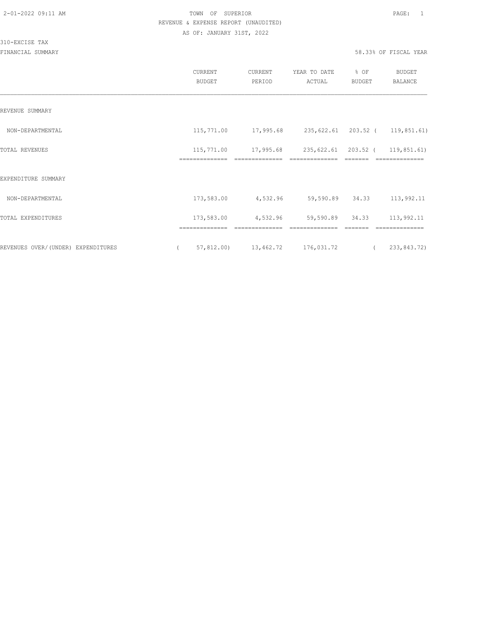#### 310-EXCISE TAX

|                                    | CURRENT<br><b>BUDGET</b>     | CURRENT<br>PERIOD                                    | YEAR TO DATE<br>ACTUAL          | % OF<br>BUDGET  | <b>BUDGET</b><br><b>BALANCE</b> |
|------------------------------------|------------------------------|------------------------------------------------------|---------------------------------|-----------------|---------------------------------|
| REVENUE SUMMARY                    |                              |                                                      |                                 |                 |                                 |
| NON-DEPARTMENTAL                   |                              | 115,771.00 17,995.68 235,622.61 203.52 ( 119,851.61) |                                 |                 |                                 |
| <b>TOTAL REVENUES</b>              | 115,771.00<br>============== | 17,995.68                                            | 235,622.61 203.52 ( 119,851.61) |                 | -----------                     |
| EXPENDITURE SUMMARY                |                              |                                                      |                                 |                 |                                 |
| NON-DEPARTMENTAL                   | 173,583.00                   | 4,532.96                                             |                                 | 59,590.89 34.33 | 113,992.11                      |
| TOTAL EXPENDITURES                 | 173,583.00<br>-------------- | 4,532.96                                             | 59,590.89 34.33                 |                 | 113,992.11<br>--------------    |
| REVENUES OVER/(UNDER) EXPENDITURES | $\sqrt{2}$                   | 57,812.00) 13,462.72 176,031.72                      |                                 |                 | 233,843.72)                     |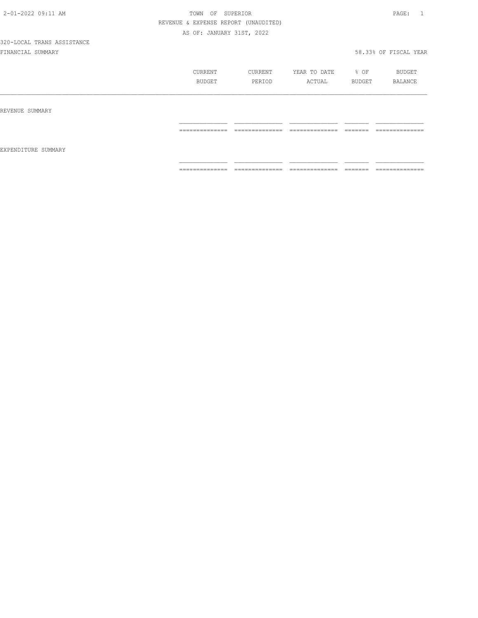|                     | CURRENT<br>BUDGET                                                                                                                                                                                                                                                                                                                                                                                                                                                                            | CURRENT<br>PERIOD               | YEAR TO DATE<br>ACTUAL | $\div$ OF<br>BUDGET | BUDGET<br>BALANCE              |
|---------------------|----------------------------------------------------------------------------------------------------------------------------------------------------------------------------------------------------------------------------------------------------------------------------------------------------------------------------------------------------------------------------------------------------------------------------------------------------------------------------------------------|---------------------------------|------------------------|---------------------|--------------------------------|
| REVENUE SUMMARY     | ==============                                                                                                                                                                                                                                                                                                                                                                                                                                                                               | ______________<br>------------- | ______________<br>.    | --------<br>======  | _____________<br>------------- |
| EXPENDITURE SUMMARY |                                                                                                                                                                                                                                                                                                                                                                                                                                                                                              | ______________                  |                        |                     |                                |
|                     | $\begin{array}{c} \multicolumn{2}{c} {\textbf{1}} & \multicolumn{2}{c} {\textbf{2}} & \multicolumn{2}{c} {\textbf{3}} & \multicolumn{2}{c} {\textbf{4}} \\ \multicolumn{2}{c} {\textbf{5}} & \multicolumn{2}{c} {\textbf{6}} & \multicolumn{2}{c} {\textbf{7}} & \multicolumn{2}{c} {\textbf{8}} & \multicolumn{2}{c} {\textbf{9}} \\ \multicolumn{2}{c} {\textbf{6}} & \multicolumn{2}{c} {\textbf{7}} & \multicolumn{2}{c} {\textbf{8}} & \multicolumn{2}{c} {\textbf{9}} & \multicolumn{$ | ---------------                 | --------------<br>.    | -------<br>________ | ==============                 |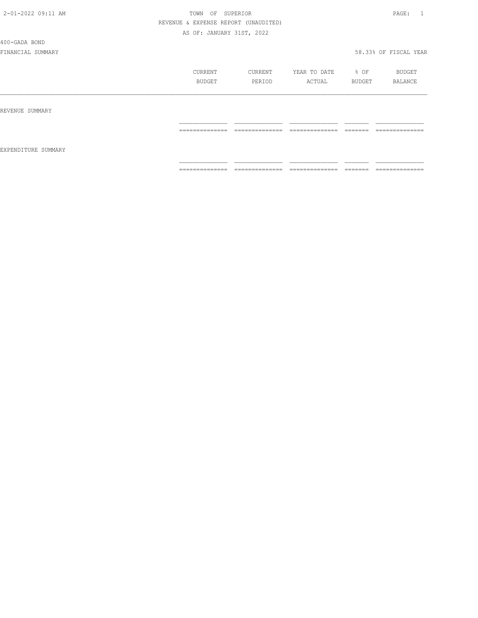400-GADA BOND

|                     | CURRENT<br>BUDGET                                                                                                                                                                                                                                                                                                                                                                                                                                                                            | CURRENT<br>PERIOD                 | YEAR TO DATE<br>ACTUAL             | % OF<br>BUDGET      | BUDGET<br>BALANCE                  |
|---------------------|----------------------------------------------------------------------------------------------------------------------------------------------------------------------------------------------------------------------------------------------------------------------------------------------------------------------------------------------------------------------------------------------------------------------------------------------------------------------------------------------|-----------------------------------|------------------------------------|---------------------|------------------------------------|
| REVENUE SUMMARY     |                                                                                                                                                                                                                                                                                                                                                                                                                                                                                              |                                   |                                    |                     |                                    |
|                     | --------------<br>_______________                                                                                                                                                                                                                                                                                                                                                                                                                                                            | --------------<br>.               | ---------------<br>_______________ | -------<br>________ | --------------<br>.                |
| EXPENDITURE SUMMARY |                                                                                                                                                                                                                                                                                                                                                                                                                                                                                              |                                   |                                    |                     |                                    |
|                     | $\begin{array}{c} \multicolumn{2}{c} {\textbf{1}} & \multicolumn{2}{c} {\textbf{2}} & \multicolumn{2}{c} {\textbf{3}} & \multicolumn{2}{c} {\textbf{4}} \\ \multicolumn{2}{c} {\textbf{2}} & \multicolumn{2}{c} {\textbf{3}} & \multicolumn{2}{c} {\textbf{4}} & \multicolumn{2}{c} {\textbf{5}} & \multicolumn{2}{c} {\textbf{6}} \\ \multicolumn{2}{c} {\textbf{5}} & \multicolumn{2}{c} {\textbf{6}} & \multicolumn{2}{c} {\textbf{7}} & \multicolumn{2}{c} {\textbf{8}} & \multicolumn{$ | ______________<br>_______________ | ==============                     |                     | _______________<br>--------------- |
|                     |                                                                                                                                                                                                                                                                                                                                                                                                                                                                                              |                                   |                                    |                     |                                    |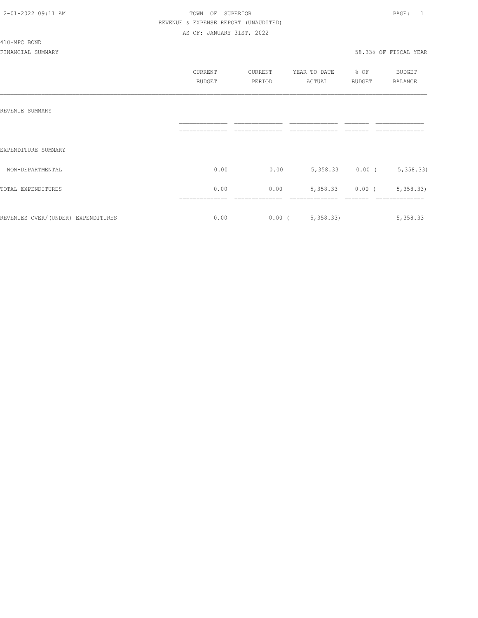410-MPC BOND

#### 2-01-2022 09:11 AM TOWN OF SUPERIOR PAGE: 1 REVENUE & EXPENSE REPORT (UNAUDITED) AS OF: JANUARY 31ST, 2022

|                                    | CURRENT<br><b>BUDGET</b> | CURRENT<br>PERIOD | YEAR TO DATE<br>ACTUAL | % OF<br><b>BUDGET</b> | BUDGET<br><b>BALANCE</b>   |
|------------------------------------|--------------------------|-------------------|------------------------|-----------------------|----------------------------|
| REVENUE SUMMARY                    |                          |                   |                        |                       |                            |
| EXPENDITURE SUMMARY                | --------------           |                   |                        |                       | ==============             |
| NON-DEPARTMENTAL                   | 0.00                     | 0.00              | 5,358.33               | $0.00$ (              | 5,358.33)                  |
| TOTAL EXPENDITURES                 | 0.00<br>--------------   | 0.00              | 5,358.33               | $0.00$ (              | 5,358.33<br>-------------- |
| REVENUES OVER/(UNDER) EXPENDITURES | 0.00                     | $0.00$ (          | 5,358.33               |                       | 5,358.33                   |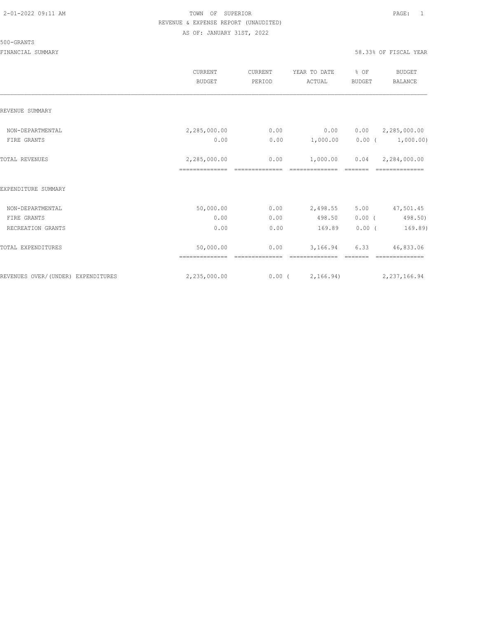#### 500-GRANTS

|                                    | CURRENT<br><b>BUDGET</b> | CURRENT<br>PERIOD | YEAR TO DATE<br>ACTUAL | % OF<br><b>BUDGET</b> | BUDGET<br><b>BALANCE</b>        |
|------------------------------------|--------------------------|-------------------|------------------------|-----------------------|---------------------------------|
| REVENUE SUMMARY                    |                          |                   |                        |                       |                                 |
| NON-DEPARTMENTAL                   | 2,285,000.00             | 0.00              | 0.00                   |                       | $0.00 \qquad 2,285,000.00$      |
| FIRE GRANTS                        | 0.00                     | 0.00              |                        |                       | $1,000.00$ $0.00$ ( $1,000.00)$ |
| TOTAL REVENUES                     | 2,285,000.00             | 0.00              | 1,000.00               |                       | $0.04$ 2,284,000.00             |
| EXPENDITURE SUMMARY                |                          |                   |                        |                       |                                 |
| NON-DEPARTMENTAL                   | 50,000.00                | 0.00              | 2,498.55               | 5.00                  | 47,501.45                       |
| FIRE GRANTS                        | 0.00                     | 0.00              | 498.50                 | $0.00$ (              | 498.50)                         |
| RECREATION GRANTS                  | 0.00                     | 0.00              | 169.89                 | $0.00$ (              | 169.89)                         |
| TOTAL EXPENDITURES                 | 50,000.00                | 0.00              | 3,166.94               | 6.33                  | 46,833.06                       |
| REVENUES OVER/(UNDER) EXPENDITURES | 2,235,000.00             |                   | 0.00(2,166.94)         |                       | 2, 237, 166.94                  |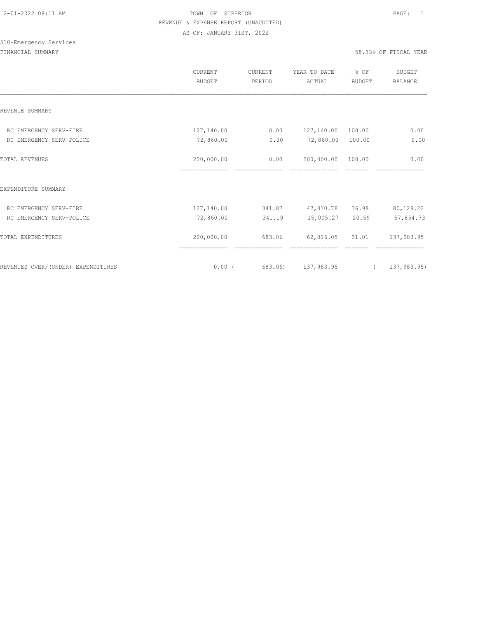|                                    | CURRENT<br><b>BUDGET</b>     | CURRENT<br>PERIOD      | YEAR TO DATE<br>ACTUAL | % OF<br><b>BUDGET</b> | <b>BUDGET</b><br><b>BALANCE</b> |
|------------------------------------|------------------------------|------------------------|------------------------|-----------------------|---------------------------------|
| REVENUE SUMMARY                    |                              |                        |                        |                       |                                 |
| RC EMERGENCY SERV-FIRE             | 127,140.00                   | 0.00                   | 127,140.00             | 100.00                | 0.00                            |
| RC EMERGENCY SERV-POLICE           | 72,860.00                    | 0.00                   | 72,860.00              | 100.00                | 0.00                            |
| <b>TOTAL REVENUES</b>              | 200,000.00                   | 0.00                   | 200,000.00             | 100.00                | 0.00                            |
| EXPENDITURE SUMMARY                |                              |                        |                        |                       |                                 |
| RC EMERGENCY SERV-FIRE             | 127,140.00                   | 341.87                 | 47,010.78              | 36.98                 | 80,129.22                       |
| RC EMERGENCY SERV-POLICE           | 72,860.00                    | 341.19                 | 15,005.27 20.59        |                       | 57,854.73                       |
| TOTAL EXPENDITURES                 | 200,000.00<br>============== | 683.06<br>------------ | 62,016.05              | 31.01                 | 137,983.95                      |
| REVENUES OVER/(UNDER) EXPENDITURES | 0.00(                        | 683.06)                | 137,983.95             |                       | 137,983.95)<br>$\left($         |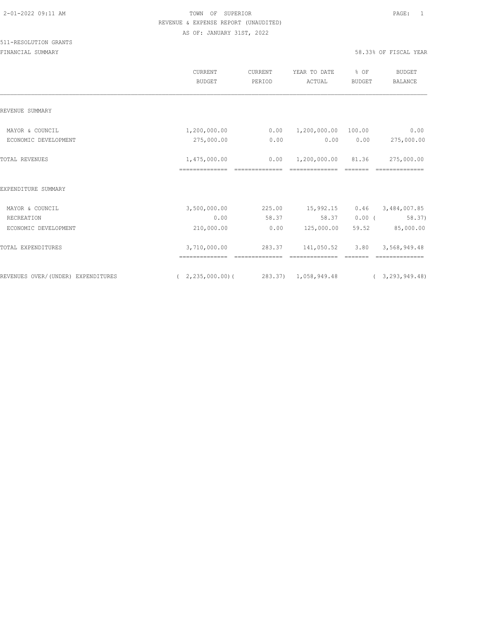|                                    | <b>CURRENT</b><br><b>BUDGET</b> | <b>CURRENT</b><br>PERIOD | YEAR TO DATE<br>ACTUAL | % OF<br><b>BUDGET</b> | <b>BUDGET</b><br><b>BALANCE</b> |
|------------------------------------|---------------------------------|--------------------------|------------------------|-----------------------|---------------------------------|
| REVENUE SUMMARY                    |                                 |                          |                        |                       |                                 |
| MAYOR & COUNCIL                    | 1,200,000.00                    | 0.00                     | 1,200,000.00 100.00    |                       | 0.00                            |
| ECONOMIC DEVELOPMENT               | 275,000.00                      | 0.00                     | 0.00                   | 0.00                  | 275,000.00                      |
| <b>TOTAL REVENUES</b>              | 1,475,000.00                    | 0.00                     | 1,200,000.00 81.36     |                       | 275,000.00                      |
| EXPENDITURE SUMMARY                |                                 |                          |                        |                       |                                 |
| MAYOR & COUNCIL                    | 3,500,000.00                    | 225.00                   | 15,992.15              | 0.46                  | 3,484,007.85                    |
| RECREATION                         | 0.00                            | 58.37                    | 58.37                  | $0.00$ (              | 58.37)                          |
| ECONOMIC DEVELOPMENT               | 210,000.00                      | 0.00                     | 125,000.00             | 59.52                 | 85,000.00                       |
| TOTAL EXPENDITURES                 | 3,710,000.00                    | 283.37                   | 141,050.52             | 3.80                  | 3,568,949.48                    |
| REVENUES OVER/(UNDER) EXPENDITURES | (2, 235, 000, 00)               | 283.37) 1,058,949.48     |                        |                       | (3, 293, 949, 48)               |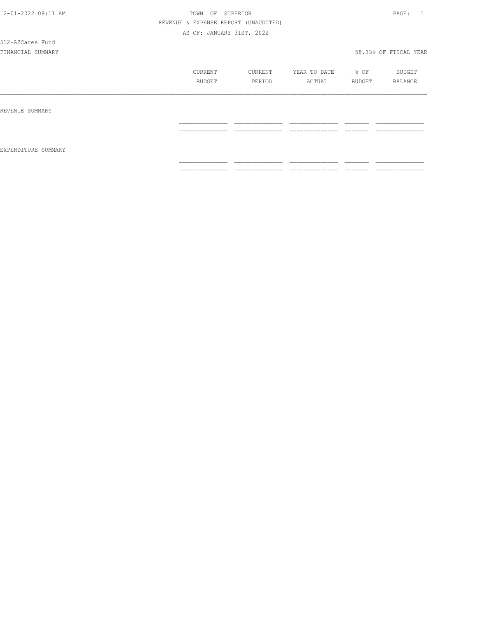512-AZCares Fund

|                     | CURRENT<br>BUDGET | CURRENT<br>PERIOD | YEAR TO DATE<br>ACTUAL | % OF<br>BUDGET | BUDGET<br>BALANCE |
|---------------------|-------------------|-------------------|------------------------|----------------|-------------------|
| REVENUE SUMMARY     |                   |                   |                        |                |                   |
| EXPENDITURE SUMMARY | ==============    | ==============    | ==============         | =======        | ==============    |
|                     | ==============    | ==============    | ==============         | =======        | ==============    |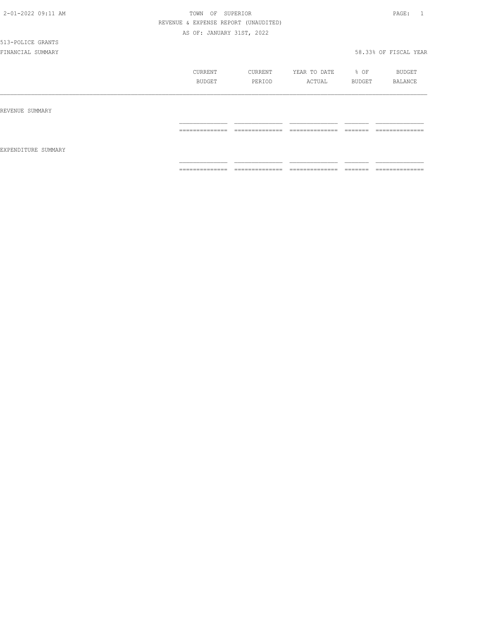# 513-POLICE GRANTS

|                     | CURRENT<br>BUDGET                 | CURRENT<br>PERIOD                 | YEAR TO DATE<br>ACTUAL                                                                                                                                                                                                                                                                                                                                                                                                                                                                 | % OF<br>BUDGET      | BUDGET<br>BALANCE                 |
|---------------------|-----------------------------------|-----------------------------------|----------------------------------------------------------------------------------------------------------------------------------------------------------------------------------------------------------------------------------------------------------------------------------------------------------------------------------------------------------------------------------------------------------------------------------------------------------------------------------------|---------------------|-----------------------------------|
| REVENUE SUMMARY     |                                   |                                   |                                                                                                                                                                                                                                                                                                                                                                                                                                                                                        |                     |                                   |
| EXPENDITURE SUMMARY | ______________<br>--------------- | ______________<br>--------------- | $\begin{array}{cccccccccc} \multicolumn{2}{c}{} & \multicolumn{2}{c}{} & \multicolumn{2}{c}{} & \multicolumn{2}{c}{} & \multicolumn{2}{c}{} & \multicolumn{2}{c}{} & \multicolumn{2}{c}{} & \multicolumn{2}{c}{} & \multicolumn{2}{c}{} & \multicolumn{2}{c}{} & \multicolumn{2}{c}{} & \multicolumn{2}{c}{} & \multicolumn{2}{c}{} & \multicolumn{2}{c}{} & \multicolumn{2}{c}{} & \multicolumn{2}{c}{} & \multicolumn{2}{c}{} & \multicolumn{2}{c}{} & \multicolumn{2}{c}{} & \mult$ | --------<br>------- | ______________<br>--------------- |
|                     | --------------<br>.               | --------------<br>.               | --------------<br>.                                                                                                                                                                                                                                                                                                                                                                                                                                                                    | --------<br>------- | --------------<br>.               |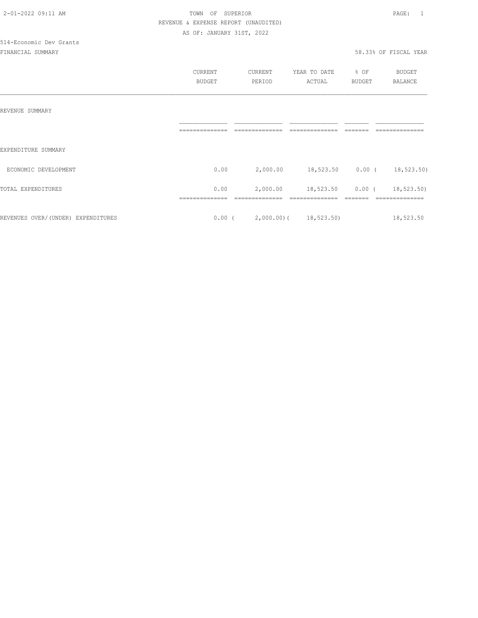514-Economic Dev Grants

|                                    | CURRENT<br><b>BUDGET</b> | CURRENT<br>PERIOD               | YEAR TO DATE<br>ACTUAL     | % OF<br><b>BUDGET</b> | BUDGET<br><b>BALANCE</b> |
|------------------------------------|--------------------------|---------------------------------|----------------------------|-----------------------|--------------------------|
| REVENUE SUMMARY                    |                          |                                 |                            |                       |                          |
| EXPENDITURE SUMMARY                |                          |                                 |                            |                       |                          |
| ECONOMIC DEVELOPMENT               | 0.00                     | 2,000.00                        | 18,523.50 0.00 (18,523.50) |                       |                          |
| TOTAL EXPENDITURES                 | 0.00                     | 2,000.00                        | 18,523.50 0.00 (           |                       | 18,523.50)               |
| REVENUES OVER/(UNDER) EXPENDITURES |                          | $0.00$ ( 2,000.00) ( 18,523.50) |                            |                       | 18,523.50                |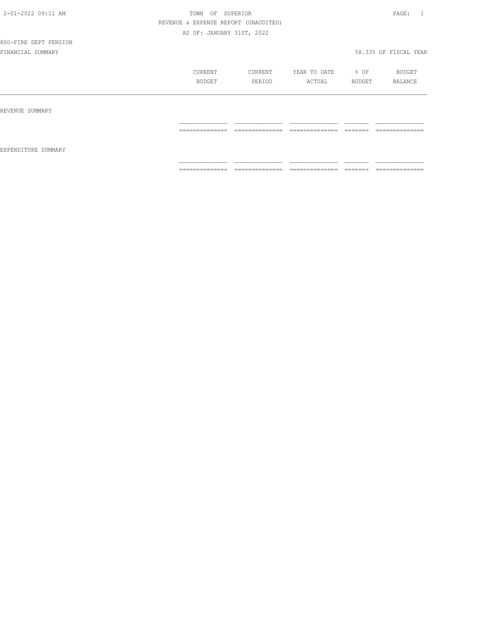# 800-FIRE DEPT PENSION

|                     | <b>CURRENT</b><br>BUDGET | CURRENT<br>PERIOD                 | YEAR TO DATE<br>ACTUAL            | % OF<br>BUDGET                                                                                                                                                                                                                                                                                                                                                                                                                                                                         | BUDGET<br>BALANCE |
|---------------------|--------------------------|-----------------------------------|-----------------------------------|----------------------------------------------------------------------------------------------------------------------------------------------------------------------------------------------------------------------------------------------------------------------------------------------------------------------------------------------------------------------------------------------------------------------------------------------------------------------------------------|-------------------|
| REVENUE SUMMARY     | ==============           | ______________<br>_______________ | ______________<br>--------------- | ________<br>-------                                                                                                                                                                                                                                                                                                                                                                                                                                                                    | --------------    |
| EXPENDITURE SUMMARY |                          |                                   |                                   |                                                                                                                                                                                                                                                                                                                                                                                                                                                                                        |                   |
|                     | ==============           | ==============                    | ==============                    | $\begin{array}{cccccccccc} \multicolumn{2}{c}{} & \multicolumn{2}{c}{} & \multicolumn{2}{c}{} & \multicolumn{2}{c}{} & \multicolumn{2}{c}{} & \multicolumn{2}{c}{} & \multicolumn{2}{c}{} & \multicolumn{2}{c}{} & \multicolumn{2}{c}{} & \multicolumn{2}{c}{} & \multicolumn{2}{c}{} & \multicolumn{2}{c}{} & \multicolumn{2}{c}{} & \multicolumn{2}{c}{} & \multicolumn{2}{c}{} & \multicolumn{2}{c}{} & \multicolumn{2}{c}{} & \multicolumn{2}{c}{} & \multicolumn{2}{c}{} & \mult$ | ==============    |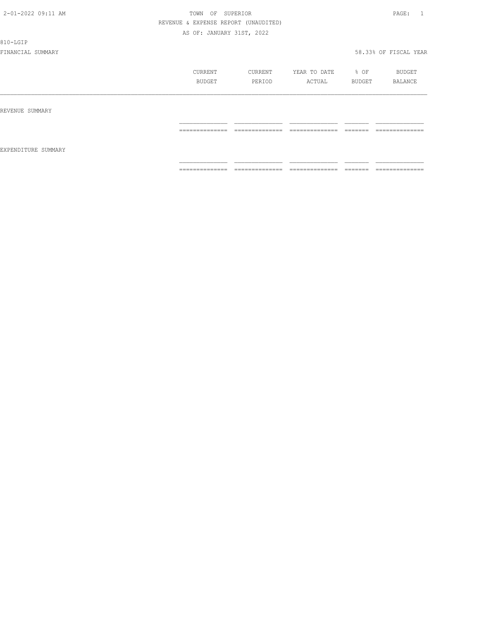810-LGIP

|                     | CURRENT<br>BUDGET                                                                                                                                                                                                                                                                                                                                                                                                                                                                            | CURRENT<br>PERIOD                                                                                                                                                                                                                                                                                                                                                                                                                                                                      | YEAR TO DATE<br>ACTUAL                                                                                                                                                                                                                                                                                                                                                                                                                                                                 | % OF<br>BUDGET          | BUDGET<br>BALANCE                                                                                                                                                                                                                                                                                                                                                                                                                                                                            |
|---------------------|----------------------------------------------------------------------------------------------------------------------------------------------------------------------------------------------------------------------------------------------------------------------------------------------------------------------------------------------------------------------------------------------------------------------------------------------------------------------------------------------|----------------------------------------------------------------------------------------------------------------------------------------------------------------------------------------------------------------------------------------------------------------------------------------------------------------------------------------------------------------------------------------------------------------------------------------------------------------------------------------|----------------------------------------------------------------------------------------------------------------------------------------------------------------------------------------------------------------------------------------------------------------------------------------------------------------------------------------------------------------------------------------------------------------------------------------------------------------------------------------|-------------------------|----------------------------------------------------------------------------------------------------------------------------------------------------------------------------------------------------------------------------------------------------------------------------------------------------------------------------------------------------------------------------------------------------------------------------------------------------------------------------------------------|
| REVENUE SUMMARY     |                                                                                                                                                                                                                                                                                                                                                                                                                                                                                              |                                                                                                                                                                                                                                                                                                                                                                                                                                                                                        |                                                                                                                                                                                                                                                                                                                                                                                                                                                                                        |                         |                                                                                                                                                                                                                                                                                                                                                                                                                                                                                              |
|                     | --------------<br>---------------                                                                                                                                                                                                                                                                                                                                                                                                                                                            | --------------<br>---------------                                                                                                                                                                                                                                                                                                                                                                                                                                                      | ---------------<br>_______________                                                                                                                                                                                                                                                                                                                                                                                                                                                     | -------<br>-------      | ---------------<br>________________                                                                                                                                                                                                                                                                                                                                                                                                                                                          |
| EXPENDITURE SUMMARY |                                                                                                                                                                                                                                                                                                                                                                                                                                                                                              |                                                                                                                                                                                                                                                                                                                                                                                                                                                                                        |                                                                                                                                                                                                                                                                                                                                                                                                                                                                                        |                         |                                                                                                                                                                                                                                                                                                                                                                                                                                                                                              |
|                     | $\begin{array}{c} \multicolumn{2}{c} {\textbf{1}} & \multicolumn{2}{c} {\textbf{2}} & \multicolumn{2}{c} {\textbf{3}} & \multicolumn{2}{c} {\textbf{4}} \\ \multicolumn{2}{c} {\textbf{2}} & \multicolumn{2}{c} {\textbf{3}} & \multicolumn{2}{c} {\textbf{4}} & \multicolumn{2}{c} {\textbf{5}} & \multicolumn{2}{c} {\textbf{6}} \\ \multicolumn{2}{c} {\textbf{5}} & \multicolumn{2}{c} {\textbf{6}} & \multicolumn{2}{c} {\textbf{7}} & \multicolumn{2}{c} {\textbf{8}} & \multicolumn{$ | $\begin{array}{cccccccccc} \multicolumn{2}{c}{} & \multicolumn{2}{c}{} & \multicolumn{2}{c}{} & \multicolumn{2}{c}{} & \multicolumn{2}{c}{} & \multicolumn{2}{c}{} & \multicolumn{2}{c}{} & \multicolumn{2}{c}{} & \multicolumn{2}{c}{} & \multicolumn{2}{c}{} & \multicolumn{2}{c}{} & \multicolumn{2}{c}{} & \multicolumn{2}{c}{} & \multicolumn{2}{c}{} & \multicolumn{2}{c}{} & \multicolumn{2}{c}{} & \multicolumn{2}{c}{} & \multicolumn{2}{c}{} & \multicolumn{2}{c}{} & \mult$ | $\begin{array}{cccccccccc} \multicolumn{2}{c}{} & \multicolumn{2}{c}{} & \multicolumn{2}{c}{} & \multicolumn{2}{c}{} & \multicolumn{2}{c}{} & \multicolumn{2}{c}{} & \multicolumn{2}{c}{} & \multicolumn{2}{c}{} & \multicolumn{2}{c}{} & \multicolumn{2}{c}{} & \multicolumn{2}{c}{} & \multicolumn{2}{c}{} & \multicolumn{2}{c}{} & \multicolumn{2}{c}{} & \multicolumn{2}{c}{} & \multicolumn{2}{c}{} & \multicolumn{2}{c}{} & \multicolumn{2}{c}{} & \multicolumn{2}{c}{} & \mult$ | $=$ $=$ $=$ $=$ $=$ $=$ | $\begin{array}{c} \multicolumn{2}{c} {\textbf{1}} & \multicolumn{2}{c} {\textbf{2}} & \multicolumn{2}{c} {\textbf{3}} & \multicolumn{2}{c} {\textbf{4}} \\ \multicolumn{2}{c} {\textbf{2}} & \multicolumn{2}{c} {\textbf{3}} & \multicolumn{2}{c} {\textbf{4}} & \multicolumn{2}{c} {\textbf{5}} & \multicolumn{2}{c} {\textbf{6}} \\ \multicolumn{2}{c} {\textbf{5}} & \multicolumn{2}{c} {\textbf{6}} & \multicolumn{2}{c} {\textbf{7}} & \multicolumn{2}{c} {\textbf{8}} & \multicolumn{$ |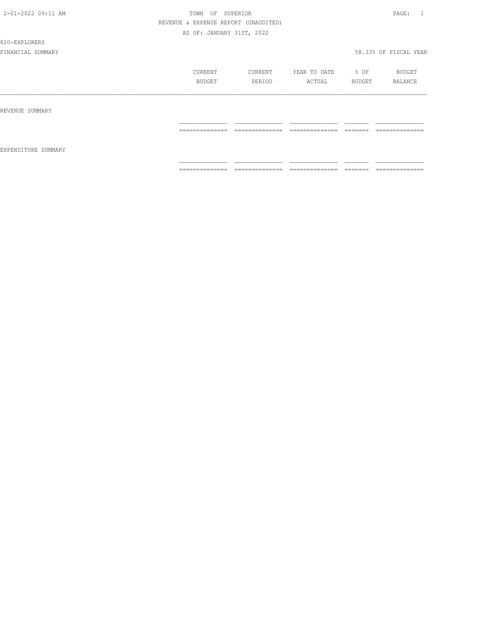#### 820-EXPLORERS

|                     | CURRENT<br>BUDGET   | CURRENT<br>PERIOD                 | YEAR TO DATE<br>ACTUAL             | % OF<br>BUDGET       | BUDGET<br>BALANCE                 |
|---------------------|---------------------|-----------------------------------|------------------------------------|----------------------|-----------------------------------|
| REVENUE SUMMARY     |                     |                                   |                                    |                      |                                   |
| EXPENDITURE SUMMARY | --------------      | --------------<br>.               | ---------------<br>.               | --------<br>________ | ---------------<br>.              |
|                     | --------------<br>. | --------------<br>_______________ | ---------------<br>_______________ | --------<br>________ | --------------<br>_______________ |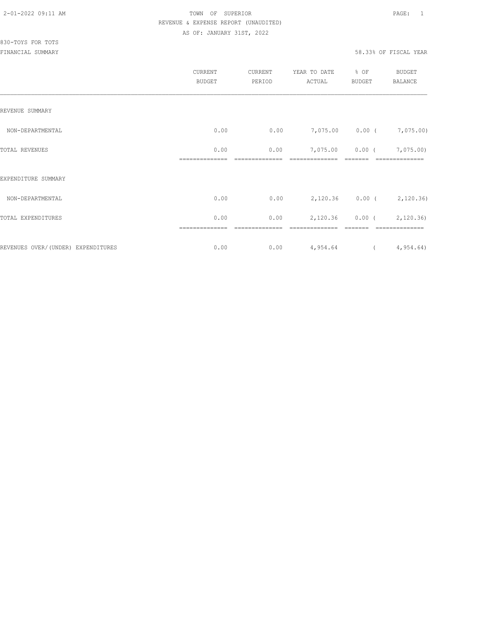|                                    | CURRENT<br><b>BUDGET</b> | CURRENT<br>PERIOD   | YEAR TO DATE<br>ACTUAL     | % OF<br><b>BUDGET</b> | <b>BUDGET</b><br><b>BALANCE</b>      |
|------------------------------------|--------------------------|---------------------|----------------------------|-----------------------|--------------------------------------|
| REVENUE SUMMARY                    |                          |                     |                            |                       |                                      |
| NON-DEPARTMENTAL                   | 0.00                     | 0.00                | 7,075.00 0.00 ( 7,075.00)  |                       |                                      |
| TOTAL REVENUES                     | 0.00<br>==============   | 0.00<br>=========== | 7,075.00<br>============== |                       | $0.00$ ( $7,075.00$ )<br>=========== |
| EXPENDITURE SUMMARY                |                          |                     |                            |                       |                                      |
| NON-DEPARTMENTAL                   | 0.00                     | 0.00                | 2,120.36 0.00 (2,120.36)   |                       |                                      |
| TOTAL EXPENDITURES                 | 0.00                     | 0.00                | 2,120.36                   |                       | $0.00$ ( $2,120.36$ )                |
| REVENUES OVER/(UNDER) EXPENDITURES | 0.00                     | 0.00                | 4,954.64                   |                       | (4, 954.64)                          |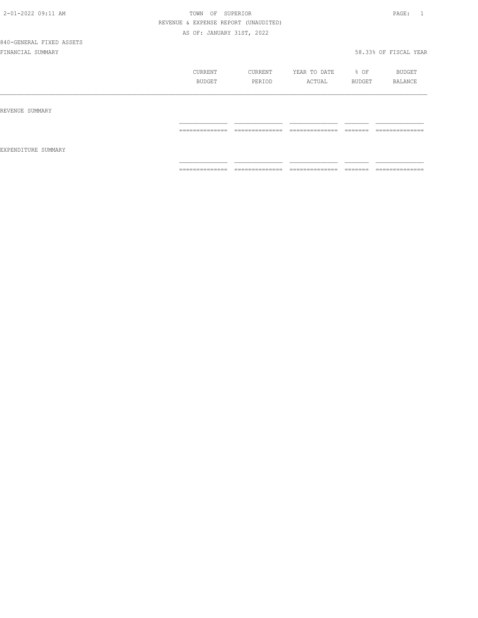#### 840-GENERAL FIXED ASSETS FINANCIAL SUMMARY 58.33% OF FISCAL YEAR

| CURRENT       | CURRENT | YEAR TO DATE | % OF          | BUDGET  |
|---------------|---------|--------------|---------------|---------|
| <b>TIDGET</b> |         | ACTUAL       | <b>BUDGET</b> | BALANCE |
|               |         |              |               |         |

#### REVENUE SUMMARY

|                     | ____________            |                 |                 |            |
|---------------------|-------------------------|-----------------|-----------------|------------|
|                     | __________<br>_________ | ----<br>--      | _______         |            |
|                     |                         |                 |                 |            |
| EXPENDITURE SUMMARY |                         |                 |                 |            |
|                     |                         |                 |                 |            |
|                     | _______________         | _______________ | _______________ | __________ |